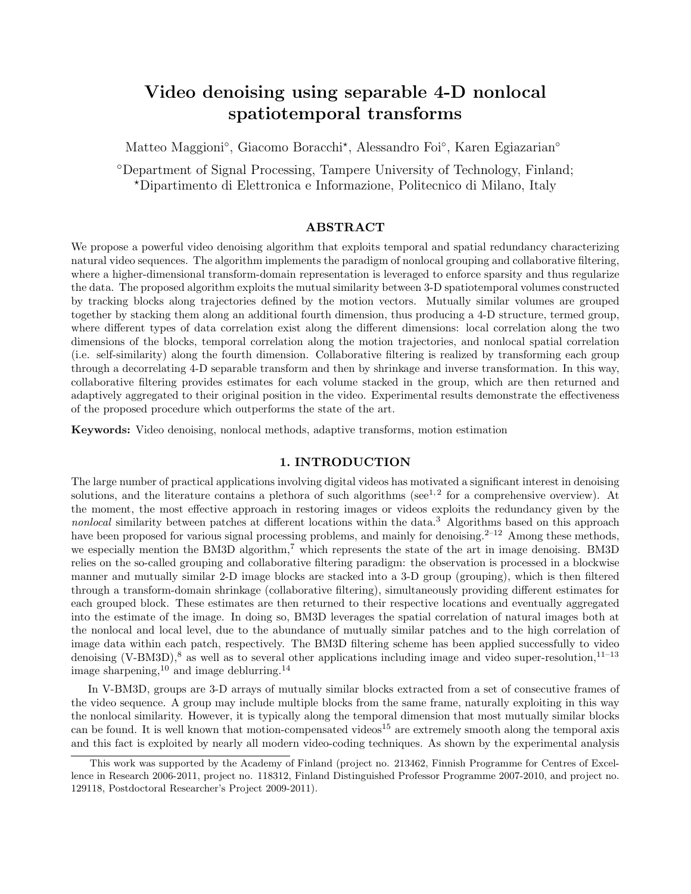# Video denoising using separable 4-D nonlocal spatiotemporal transforms

Matteo Maggioni<sup>°</sup>, Giacomo Boracchi<sup>\*</sup>, Alessandro Foi<sup>°</sup>, Karen Egiazarian<sup>°</sup>

◦Department of Signal Processing, Tampere University of Technology, Finland; ?Dipartimento di Elettronica e Informazione, Politecnico di Milano, Italy

### ABSTRACT

We propose a powerful video denoising algorithm that exploits temporal and spatial redundancy characterizing natural video sequences. The algorithm implements the paradigm of nonlocal grouping and collaborative filtering, where a higher-dimensional transform-domain representation is leveraged to enforce sparsity and thus regularize the data. The proposed algorithm exploits the mutual similarity between 3-D spatiotemporal volumes constructed by tracking blocks along trajectories defined by the motion vectors. Mutually similar volumes are grouped together by stacking them along an additional fourth dimension, thus producing a 4-D structure, termed group, where different types of data correlation exist along the different dimensions: local correlation along the two dimensions of the blocks, temporal correlation along the motion trajectories, and nonlocal spatial correlation (i.e. self-similarity) along the fourth dimension. Collaborative filtering is realized by transforming each group through a decorrelating 4-D separable transform and then by shrinkage and inverse transformation. In this way, collaborative filtering provides estimates for each volume stacked in the group, which are then returned and adaptively aggregated to their original position in the video. Experimental results demonstrate the effectiveness of the proposed procedure which outperforms the state of the art.

Keywords: Video denoising, nonlocal methods, adaptive transforms, motion estimation

# 1. INTRODUCTION

The large number of practical applications involving digital videos has motivated a significant interest in denoising solutions, and the literature contains a plethora of such algorithms (see<sup>1,2</sup> for a comprehensive overview). At the moment, the most effective approach in restoring images or videos exploits the redundancy given by the nonlocal similarity between patches at different locations within the data.<sup>3</sup> Algorithms based on this approach have been proposed for various signal processing problems, and mainly for denoising.<sup>2–12</sup> Among these methods, we especially mention the BM3D algorithm,<sup>7</sup> which represents the state of the art in image denoising. BM3D relies on the so-called grouping and collaborative filtering paradigm: the observation is processed in a blockwise manner and mutually similar 2-D image blocks are stacked into a 3-D group (grouping), which is then filtered through a transform-domain shrinkage (collaborative filtering), simultaneously providing different estimates for each grouped block. These estimates are then returned to their respective locations and eventually aggregated into the estimate of the image. In doing so, BM3D leverages the spatial correlation of natural images both at the nonlocal and local level, due to the abundance of mutually similar patches and to the high correlation of image data within each patch, respectively. The BM3D filtering scheme has been applied successfully to video denoising (V-BM3D),<sup>8</sup> as well as to several other applications including image and video super-resolution,  $1^{1-13}$ image sharpening, $10^{6}$  and image deblurring.<sup>14</sup>

In V-BM3D, groups are 3-D arrays of mutually similar blocks extracted from a set of consecutive frames of the video sequence. A group may include multiple blocks from the same frame, naturally exploiting in this way the nonlocal similarity. However, it is typically along the temporal dimension that most mutually similar blocks can be found. It is well known that motion-compensated videos<sup>15</sup> are extremely smooth along the temporal axis and this fact is exploited by nearly all modern video-coding techniques. As shown by the experimental analysis

This work was supported by the Academy of Finland (project no. 213462, Finnish Programme for Centres of Excellence in Research 2006-2011, project no. 118312, Finland Distinguished Professor Programme 2007-2010, and project no. 129118, Postdoctoral Researcher's Project 2009-2011).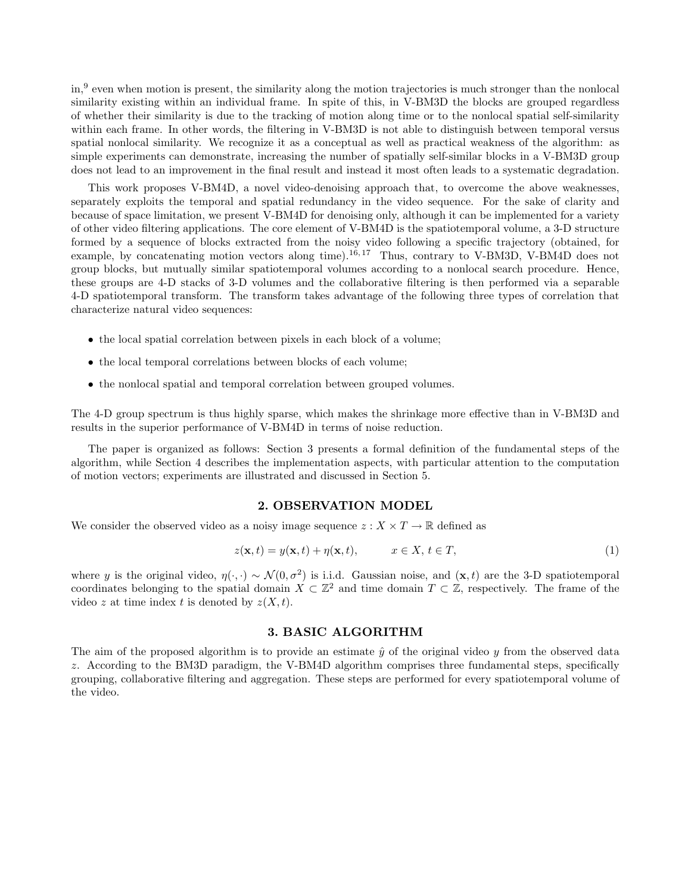in,<sup>9</sup> even when motion is present, the similarity along the motion trajectories is much stronger than the nonlocal similarity existing within an individual frame. In spite of this, in V-BM3D the blocks are grouped regardless of whether their similarity is due to the tracking of motion along time or to the nonlocal spatial self-similarity within each frame. In other words, the filtering in V-BM3D is not able to distinguish between temporal versus spatial nonlocal similarity. We recognize it as a conceptual as well as practical weakness of the algorithm: as simple experiments can demonstrate, increasing the number of spatially self-similar blocks in a V-BM3D group does not lead to an improvement in the final result and instead it most often leads to a systematic degradation.

This work proposes V-BM4D, a novel video-denoising approach that, to overcome the above weaknesses, separately exploits the temporal and spatial redundancy in the video sequence. For the sake of clarity and because of space limitation, we present V-BM4D for denoising only, although it can be implemented for a variety of other video filtering applications. The core element of V-BM4D is the spatiotemporal volume, a 3-D structure formed by a sequence of blocks extracted from the noisy video following a specific trajectory (obtained, for example, by concatenating motion vectors along time).<sup>16,17</sup> Thus, contrary to V-BM3D, V-BM4D does not group blocks, but mutually similar spatiotemporal volumes according to a nonlocal search procedure. Hence, these groups are 4-D stacks of 3-D volumes and the collaborative filtering is then performed via a separable 4-D spatiotemporal transform. The transform takes advantage of the following three types of correlation that characterize natural video sequences:

- the local spatial correlation between pixels in each block of a volume;
- the local temporal correlations between blocks of each volume;
- the nonlocal spatial and temporal correlation between grouped volumes.

The 4-D group spectrum is thus highly sparse, which makes the shrinkage more effective than in V-BM3D and results in the superior performance of V-BM4D in terms of noise reduction.

The paper is organized as follows: Section 3 presents a formal definition of the fundamental steps of the algorithm, while Section 4 describes the implementation aspects, with particular attention to the computation of motion vectors; experiments are illustrated and discussed in Section 5.

#### 2. OBSERVATION MODEL

We consider the observed video as a noisy image sequence  $z : X \times T \to \mathbb{R}$  defined as

$$
z(\mathbf{x},t) = y(\mathbf{x},t) + \eta(\mathbf{x},t), \qquad x \in X, t \in T,
$$
\n<sup>(1)</sup>

where y is the original video,  $\eta(\cdot, \cdot) \sim \mathcal{N}(0, \sigma^2)$  is i.i.d. Gaussian noise, and  $(\mathbf{x}, t)$  are the 3-D spatiotemporal coordinates belonging to the spatial domain  $X \subset \mathbb{Z}^2$  and time domain  $T \subset \mathbb{Z}$ , respectively. The frame of the video z at time index t is denoted by  $z(X, t)$ .

# 3. BASIC ALGORITHM

The aim of the proposed algorithm is to provide an estimate  $\hat{y}$  of the original video y from the observed data z. According to the BM3D paradigm, the V-BM4D algorithm comprises three fundamental steps, specifically grouping, collaborative filtering and aggregation. These steps are performed for every spatiotemporal volume of the video.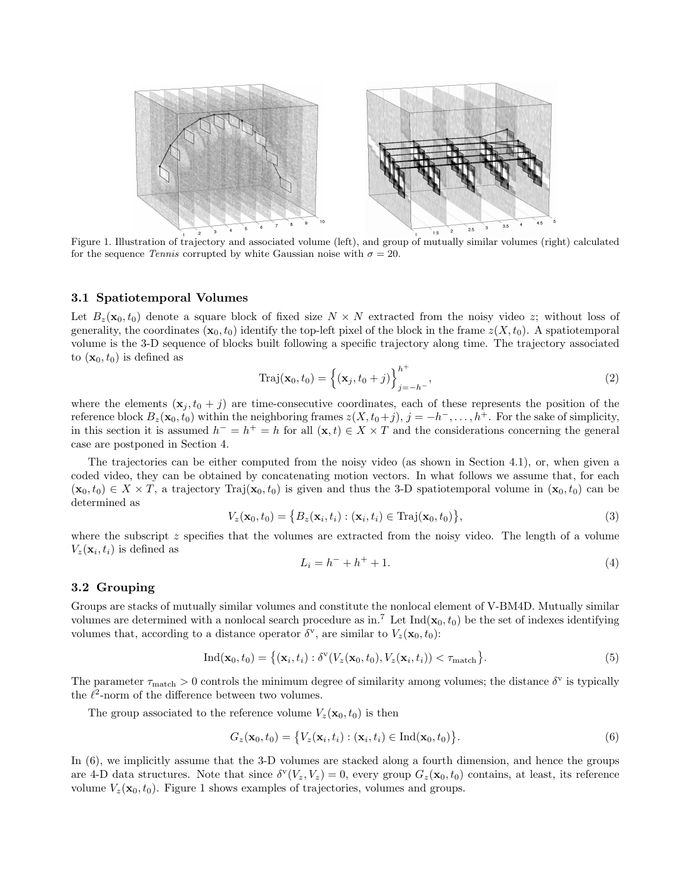

Figure 1. Illustration of trajectory and associated volume (left), and group of mutually similar volumes (right) calculated for the sequence Tennis corrupted by white Gaussian noise with  $\sigma = 20$ .

#### 3.1 Spatiotemporal Volumes

Let  $B_z(\mathbf{x}_0, t_0)$  denote a square block of fixed size  $N \times N$  extracted from the noisy video z; without loss of generality, the coordinates  $(\mathbf{x}_0, t_0)$  identify the top-left pixel of the block in the frame  $z(X, t_0)$ . A spatiotemporal volume is the 3-D sequence of blocks built following a specific trajectory along time. The trajectory associated to  $(\mathbf{x}_0, t_0)$  is defined as

$$
Tri(\mathbf{x}_0, t_0) = \left\{ (\mathbf{x}_j, t_0 + j) \right\}_{j=-h^-}^{h^+},
$$
\n(2)

where the elements  $(x_j, t_0 + j)$  are time-consecutive coordinates, each of these represents the position of the reference block  $B_z(\mathbf{x}_0, t_0)$  within the neighboring frames  $z(X, t_0+j)$ ,  $j = -h^-$ , ...,  $h^+$ . For the sake of simplicity, in this section it is assumed  $h^- = h^+ = h$  for all  $(\mathbf{x}, t) \in X \times T$  and the considerations concerning the general case are postponed in Section 4.

The trajectories can be either computed from the noisy video (as shown in Section 4.1), or, when given a coded video, they can be obtained by concatenating motion vectors. In what follows we assume that, for each  $(\mathbf{x}_0, t_0) \in X \times T$ , a trajectory Traj $(\mathbf{x}_0, t_0)$  is given and thus the 3-D spatiotemporal volume in  $(\mathbf{x}_0, t_0)$  can be determined as

$$
V_z(\mathbf{x}_0, t_0) = \{ B_z(\mathbf{x}_i, t_i) : (\mathbf{x}_i, t_i) \in \text{Traj}(\mathbf{x}_0, t_0) \},\tag{3}
$$

where the subscript z specifies that the volumes are extracted from the noisy video. The length of a volume  $V_z(\mathbf{x}_i, t_i)$  is defined as

$$
L_i = h^- + h^+ + 1. \tag{4}
$$

#### 3.2 Grouping

Groups are stacks of mutually similar volumes and constitute the nonlocal element of V-BM4D. Mutually similar volumes are determined with a nonlocal search procedure as in.<sup>7</sup> Let  $Ind(x_0, t_0)$  be the set of indexes identifying volumes that, according to a distance operator  $\delta^{\mathbf{v}}$ , are similar to  $V_z(\mathbf{x}_0, t_0)$ :

$$
\mathrm{Ind}(\mathbf{x}_0, t_0) = \{ (\mathbf{x}_i, t_i) : \delta^{\mathrm{v}}(V_z(\mathbf{x}_0, t_0), V_z(\mathbf{x}_i, t_i)) < \tau_{\mathrm{match}} \}. \tag{5}
$$

The parameter  $\tau_{\text{match}} > 0$  controls the minimum degree of similarity among volumes; the distance  $\delta^v$  is typically the  $\ell^2$ -norm of the difference between two volumes.

The group associated to the reference volume  $V_z(\mathbf{x}_0, t_0)$  is then

$$
G_z(\mathbf{x}_0, t_0) = \big\{ V_z(\mathbf{x}_i, t_i) : (\mathbf{x}_i, t_i) \in \text{Ind}(\mathbf{x}_0, t_0) \big\}.
$$
\n
$$
(6)
$$

In (6), we implicitly assume that the 3-D volumes are stacked along a fourth dimension, and hence the groups are 4-D data structures. Note that since  $\delta^{v}(V_z, V_z) = 0$ , every group  $G_z(\mathbf{x}_0, t_0)$  contains, at least, its reference volume  $V_z(\mathbf{x}_0, t_0)$ . Figure 1 shows examples of trajectories, volumes and groups.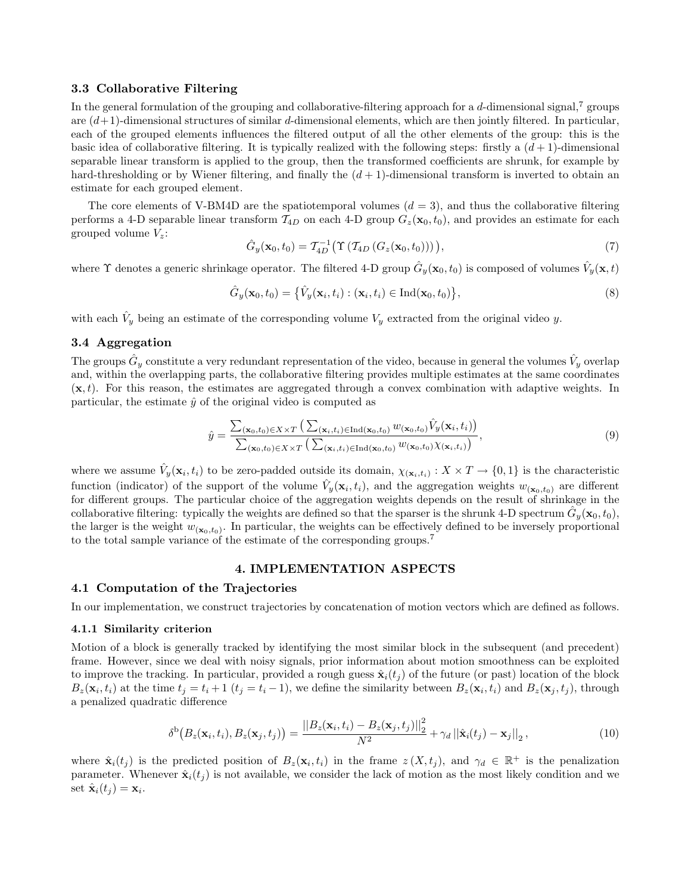#### 3.3 Collaborative Filtering

In the general formulation of the grouping and collaborative-filtering approach for a d-dimensional signal,  $\tau$  groups are  $(d+1)$ -dimensional structures of similar d-dimensional elements, which are then jointly filtered. In particular, each of the grouped elements influences the filtered output of all the other elements of the group: this is the basic idea of collaborative filtering. It is typically realized with the following steps: firstly a  $(d+1)$ -dimensional separable linear transform is applied to the group, then the transformed coefficients are shrunk, for example by hard-thresholding or by Wiener filtering, and finally the  $(d + 1)$ -dimensional transform is inverted to obtain an estimate for each grouped element.

The core elements of V-BM4D are the spatiotemporal volumes  $(d = 3)$ , and thus the collaborative filtering performs a 4-D separable linear transform  $\mathcal{T}_{4D}$  on each 4-D group  $G_z(\mathbf{x}_0, t_0)$ , and provides an estimate for each grouped volume  $V_z$ :

$$
\hat{G}_y(\mathbf{x}_0, t_0) = \mathcal{T}_{4D}^{-1}(\Upsilon \left( \mathcal{T}_{4D} \left( G_z(\mathbf{x}_0, t_0) \right) \right) \right),\tag{7}
$$

where  $\Upsilon$  denotes a generic shrinkage operator. The filtered 4-D group  $\hat{G}_y(\mathbf{x}_0, t_0)$  is composed of volumes  $\hat{V}_y(\mathbf{x}, t)$ 

$$
\hat{G}_y(\mathbf{x}_0, t_0) = \left\{ \hat{V}_y(\mathbf{x}_i, t_i) : (\mathbf{x}_i, t_i) \in \text{Ind}(\mathbf{x}_0, t_0) \right\},\tag{8}
$$

with each  $\hat{V}_y$  being an estimate of the corresponding volume  $V_y$  extracted from the original video y.

# 3.4 Aggregation

The groups  $\hat{G}_y$  constitute a very redundant representation of the video, because in general the volumes  $\hat{V}_y$  overlap and, within the overlapping parts, the collaborative filtering provides multiple estimates at the same coordinates  $(x, t)$ . For this reason, the estimates are aggregated through a convex combination with adaptive weights. In particular, the estimate  $\hat{y}$  of the original video is computed as

$$
\hat{y} = \frac{\sum_{(\mathbf{x}_0, t_0) \in X \times T} \left( \sum_{(\mathbf{x}_i, t_i) \in \text{Ind}(\mathbf{x}_0, t_0)} w_{(\mathbf{x}_0, t_0)} \hat{V}_y(\mathbf{x}_i, t_i) \right)}{\sum_{(\mathbf{x}_0, t_0) \in X \times T} \left( \sum_{(\mathbf{x}_i, t_i) \in \text{Ind}(\mathbf{x}_0, t_0)} w_{(\mathbf{x}_0, t_0)} \chi_{(\mathbf{x}_i, t_i)} \right)},\tag{9}
$$

where we assume  $\hat{V}_y(\mathbf{x}_i, t_i)$  to be zero-padded outside its domain,  $\chi_{(\mathbf{x}_i, t_i)} : X \times T \to \{0, 1\}$  is the characteristic function (indicator) of the support of the volume  $\hat{V}_y(\mathbf{x}_i, t_i)$ , and the aggregation weights  $w_{(\mathbf{x}_0, t_0)}$  are different for different groups. The particular choice of the aggregation weights depends on the result of shrinkage in the collaborative filtering: typically the weights are defined so that the sparser is the shrunk 4-D spectrum  $\tilde{G}_y(\mathbf{x}_0, t_0)$ , the larger is the weight  $w_{(\mathbf{x}_0,t_0)}$ . In particular, the weights can be effectively defined to be inversely proportional to the total sample variance of the estimate of the corresponding groups.<sup>7</sup>

#### 4. IMPLEMENTATION ASPECTS

## 4.1 Computation of the Trajectories

In our implementation, we construct trajectories by concatenation of motion vectors which are defined as follows.

#### 4.1.1 Similarity criterion

Motion of a block is generally tracked by identifying the most similar block in the subsequent (and precedent) frame. However, since we deal with noisy signals, prior information about motion smoothness can be exploited to improve the tracking. In particular, provided a rough guess  $\hat{\mathbf{x}}_i(t_i)$  of the future (or past) location of the block  $B_z(\mathbf{x}_i,t_i)$  at the time  $t_j = t_i + 1$   $(t_j = t_i - 1)$ , we define the similarity between  $B_z(\mathbf{x}_i,t_i)$  and  $B_z(\mathbf{x}_j,t_j)$ , through a penalized quadratic difference

$$
\delta^{b}\big(B_{z}(\mathbf{x}_{i},t_{i}),B_{z}(\mathbf{x}_{j},t_{j})\big)=\frac{\left|\left|B_{z}(\mathbf{x}_{i},t_{i})-B_{z}(\mathbf{x}_{j},t_{j})\right|\right|_{2}^{2}}{N^{2}}+\gamma_{d}\left|\left|\hat{\mathbf{x}}_{i}(t_{j})-\mathbf{x}_{j}\right|\right|_{2},\tag{10}
$$

where  $\hat{\mathbf{x}}_i(t_j)$  is the predicted position of  $B_z(\mathbf{x}_i,t_i)$  in the frame  $z(X,t_j)$ , and  $\gamma_d \in \mathbb{R}^+$  is the penalization parameter. Whenever  $\hat{\mathbf{x}}_i(t_j)$  is not available, we consider the lack of motion as the most likely condition and we set  $\hat{\mathbf{x}}_i(t_j) = \mathbf{x}_i$ .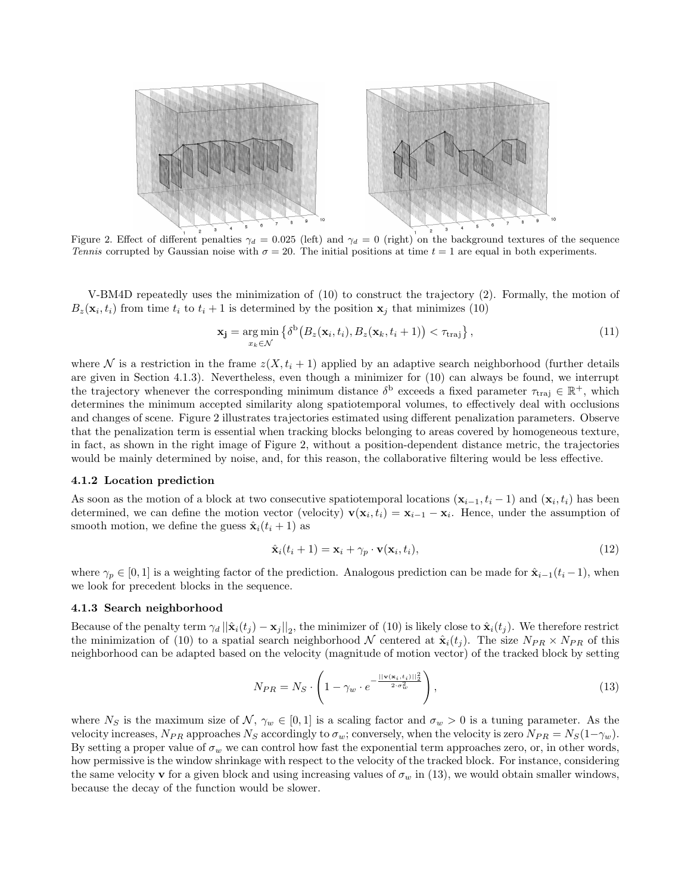

Figure 2. Effect of different penalties  $\gamma_d = 0.025$  (left) and  $\gamma_d = 0$  (right) on the background textures of the sequence Tennis corrupted by Gaussian noise with  $\sigma = 20$ . The initial positions at time  $t = 1$  are equal in both experiments.

V-BM4D repeatedly uses the minimization of (10) to construct the trajectory (2). Formally, the motion of  $B_z(\mathbf{x}_i, t_i)$  from time  $t_i$  to  $t_i + 1$  is determined by the position  $\mathbf{x}_j$  that minimizes (10)

$$
\mathbf{x_j} = \underset{x_k \in \mathcal{N}}{\arg \min} \left\{ \delta^{\text{b}} \big( B_z(\mathbf{x}_i, t_i), B_z(\mathbf{x}_k, t_i + 1) \big) < \tau_{\text{traj}} \right\},\tag{11}
$$

where N is a restriction in the frame  $z(X, t_i + 1)$  applied by an adaptive search neighborhood (further details are given in Section 4.1.3). Nevertheless, even though a minimizer for (10) can always be found, we interrupt the trajectory whenever the corresponding minimum distance  $\delta^{\text{b}}$  exceeds a fixed parameter  $\tau_{\text{traj}} \in \mathbb{R}^+$ , which determines the minimum accepted similarity along spatiotemporal volumes, to effectively deal with occlusions and changes of scene. Figure 2 illustrates trajectories estimated using different penalization parameters. Observe that the penalization term is essential when tracking blocks belonging to areas covered by homogeneous texture, in fact, as shown in the right image of Figure 2, without a position-dependent distance metric, the trajectories would be mainly determined by noise, and, for this reason, the collaborative filtering would be less effective.

#### 4.1.2 Location prediction

As soon as the motion of a block at two consecutive spatiotemporal locations  $(\mathbf{x}_{i-1}, t_i - 1)$  and  $(\mathbf{x}_i, t_i)$  has been determined, we can define the motion vector (velocity)  $\mathbf{v}(\mathbf{x}_i, t_i) = \mathbf{x}_{i-1} - \mathbf{x}_i$ . Hence, under the assumption of smooth motion, we define the guess  $\hat{\mathbf{x}}_i(t_i + 1)$  as

$$
\hat{\mathbf{x}}_i(t_i + 1) = \mathbf{x}_i + \gamma_p \cdot \mathbf{v}(\mathbf{x}_i, t_i),\tag{12}
$$

where  $\gamma_p \in [0,1]$  is a weighting factor of the prediction. Analogous prediction can be made for  $\hat{\mathbf{x}}_{i-1}(t_i-1)$ , when we look for precedent blocks in the sequence.

#### 4.1.3 Search neighborhood

Because of the penalty term  $\gamma_d ||\hat{\mathbf{x}}_i(t_j) - \mathbf{x}_j||_2$ , the minimizer of (10) is likely close to  $\hat{\mathbf{x}}_i(t_j)$ . We therefore restrict the minimization of (10) to a spatial search neighborhood N centered at  $\hat{\mathbf{x}}_i(t_j)$ . The size  $N_{PR} \times N_{PR}$  of this neighborhood can be adapted based on the velocity (magnitude of motion vector) of the tracked block by setting

$$
N_{PR} = N_S \cdot \left(1 - \gamma_w \cdot e^{-\frac{||\mathbf{v}(\mathbf{x}_i, t_i)||_2^2}{2 \cdot \sigma_w^2}}\right),\tag{13}
$$

where  $N_S$  is the maximum size of  $\mathcal{N}, \gamma_w \in [0,1]$  is a scaling factor and  $\sigma_w > 0$  is a tuning parameter. As the velocity increases,  $N_{PR}$  approaches  $N_S$  accordingly to  $\sigma_w$ ; conversely, when the velocity is zero  $N_{PR} = N_S(1-\gamma_w)$ . By setting a proper value of  $\sigma_w$  we can control how fast the exponential term approaches zero, or, in other words, how permissive is the window shrinkage with respect to the velocity of the tracked block. For instance, considering the same velocity v for a given block and using increasing values of  $\sigma_w$  in (13), we would obtain smaller windows, because the decay of the function would be slower.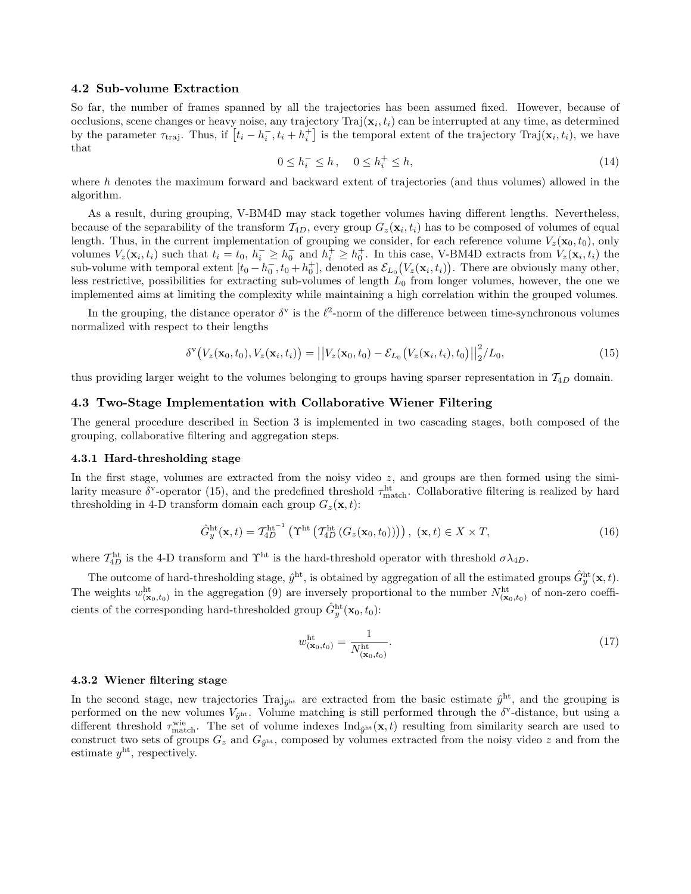#### 4.2 Sub-volume Extraction

So far, the number of frames spanned by all the trajectories has been assumed fixed. However, because of occlusions, scene changes or heavy noise, any trajectory  $\text{Traj}(\mathbf{x}_i, t_i)$  can be interrupted at any time, as determined by the parameter  $\tau_{\text{traj}}$ . Thus, if  $[t_i - h_i^-, t_i + h_i^+]$  is the temporal extent of the trajectory Traj $(\mathbf{x}_i, t_i)$ , we have that

$$
0 \le h_i^- \le h, \quad 0 \le h_i^+ \le h,\tag{14}
$$

where h denotes the maximum forward and backward extent of trajectories (and thus volumes) allowed in the algorithm.

As a result, during grouping, V-BM4D may stack together volumes having different lengths. Nevertheless, because of the separability of the transform  $\mathcal{T}_{4D}$ , every group  $G_z(\mathbf{x}_i, t_i)$  has to be composed of volumes of equal length. Thus, in the current implementation of grouping we consider, for each reference volume  $V_z(\mathbf{x}_0, t_0)$ , only volumes  $V_z(\mathbf{x}_i, t_i)$  such that  $t_i = t_0, h_i^- \geq h_0^-$  and  $h_i^+ \geq h_0^+$ . In this case, V-BM4D extracts from  $V_z(\mathbf{x}_i, t_i)$  the sub-volume with temporal extent  $[t_0 - h_0^-, t_0 + h_0^+]$ , denoted as  $\mathcal{E}_{L_0}(V_z(\mathbf{x}_i, t_i))$ . There are obviously many other, less restrictive, possibilities for extracting sub-volumes of length  $L_0$  from longer volumes, however, the one we implemented aims at limiting the complexity while maintaining a high correlation within the grouped volumes.

In the grouping, the distance operator  $\delta^v$  is the  $\ell^2$ -norm of the difference between time-synchronous volumes normalized with respect to their lengths

$$
\delta^{\mathbf{v}}\big(V_z(\mathbf{x}_0,t_0),V_z(\mathbf{x}_i,t_i)\big)=\big|\big|V_z(\mathbf{x}_0,t_0)-\mathcal{E}_{L_0}\big(V_z(\mathbf{x}_i,t_i),t_0\big)\big|\big|_2^2/L_0,
$$
\n(15)

thus providing larger weight to the volumes belonging to groups having sparser representation in  $T_{4D}$  domain.

# 4.3 Two-Stage Implementation with Collaborative Wiener Filtering

The general procedure described in Section 3 is implemented in two cascading stages, both composed of the grouping, collaborative filtering and aggregation steps.

#### 4.3.1 Hard-thresholding stage

In the first stage, volumes are extracted from the noisy video  $z$ , and groups are then formed using the similarity measure  $\delta^{\rm v}$ -operator (15), and the predefined threshold  $\tau_{\rm match}^{\rm ht}$ . Collaborative filtering is realized by hard thresholding in 4-D transform domain each group  $G_z(\mathbf{x}, t)$ :

$$
\hat{G}_y^{\text{ht}}(\mathbf{x},t) = T_{4D}^{\text{ht}^{-1}}\left(\Upsilon^{\text{ht}}\left(\mathcal{T}_{4D}^{\text{ht}}\left(G_z(\mathbf{x}_0,t_0)\right)\right)\right), \ (\mathbf{x},t) \in X \times T,
$$
\n(16)

where  $\mathcal{T}_{4D}^{\text{ht}}$  is the 4-D transform and  $\Upsilon^{\text{ht}}$  is the hard-threshold operator with threshold  $\sigma \lambda_{4D}$ .

The outcome of hard-thresholding stage,  $\hat{y}^{\text{ht}}$ , is obtained by aggregation of all the estimated groups  $\hat{G}_y^{\text{ht}}(\mathbf{x}, t)$ . The weights  $w_{(\mathbf{x}_0,t_0)}^{\text{ht}}$  in the aggregation (9) are inversely proportional to the number  $N_{(\mathbf{x}_0,t_0)}^{\text{ht}}$  of non-zero coefficients of the corresponding hard-thresholded group  $\hat{G}_y^{\text{ht}}(\mathbf{x}_0, t_0)$ :

$$
w_{(x_0, t_0)}^{\text{ht}} = \frac{1}{N_{(x_0, t_0)}^{\text{ht}}}.
$$
\n(17)

#### 4.3.2 Wiener filtering stage

In the second stage, new trajectories Traj<sub> $\hat{y}$ ht are extracted from the basic estimate  $\hat{y}$ <sup>ht</sup>, and the grouping is</sub> performed on the new volumes  $V_{\hat{y}^{ht}}$ . Volume matching is still performed through the  $\delta^{\nu}$ -distance, but using a different threshold  $\tau_{\text{match}}^{\text{wie}}$ . The set of volume indexes  $\text{Ind}_{\hat{g}^{\text{ht}}}(\mathbf{x},t)$  resulting from similarity search are used to construct two sets of groups  $G_z$  and  $G_{\hat{y}^{ht}}$ , composed by volumes extracted from the noisy video z and from the estimate  $y^{\text{ht}}$ , respectively.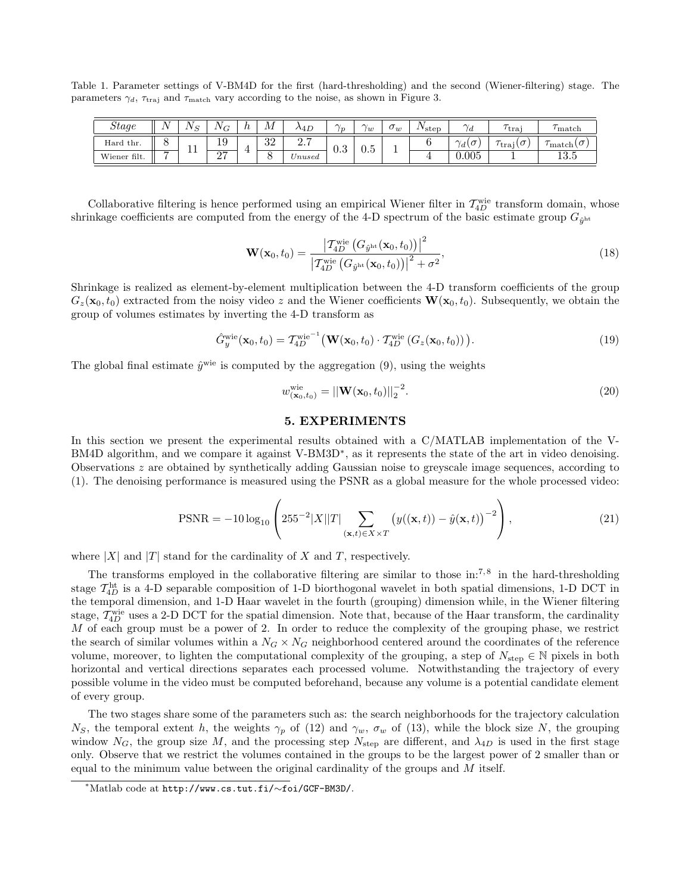Table 1. Parameter settings of V-BM4D for the first (hard-thresholding) and the second (Wiener-filtering) stage. The parameters  $\gamma_d$ ,  $\tau_{\text{traj}}$  and  $\tau_{\text{match}}$  vary according to the noise, as shown in Figure 3.

| <b>Stage</b> | $\sim$ $\sim$<br><b>.</b> | - -<br>. . | $\mathbf{v}$<br>Œ | v | ΛЛ       | ى47 ^                               | $\sim$<br>'n | $\sim$<br>w | $\circ_w$ | $\frac{1}{2}$ step | $\sim$ .<br>Ιd               | traj           | match                   |
|--------------|---------------------------|------------|-------------------|---|----------|-------------------------------------|--------------|-------------|-----------|--------------------|------------------------------|----------------|-------------------------|
| Hard thr.    |                           |            | $\Omega$<br>⊥ •   |   | າາ<br>◡∠ | $\Omega$ $\Box$<br>$\overline{a}$ . | 0.3          | $v\cdot v$  |           |                    | $\sim$<br>$\sim$<br>ιU<br>'d | $\sim$<br>traj | ′match∪                 |
| Wiener filt. | $\overline{\phantom{0}}$  | <b>. .</b> | $\sim$<br>ـ ــ    |   | ◡        | $\nu$ nused                         |              |             |           |                    | 0.005                        |                | 10 <sup>h</sup><br>10.O |

Collaborative filtering is hence performed using an empirical Wiener filter in  $\mathcal{T}_{4D}^{\text{wie}}$  transform domain, whose shrinkage coefficients are computed from the energy of the 4-D spectrum of the basic estimate group  $G_{\hat{y}^{ht}}$ 

$$
\mathbf{W}(\mathbf{x}_{0},t_{0}) = \frac{|\mathcal{T}_{4D}^{\text{wie}}(G_{\hat{y}^{\text{ht}}}(\mathbf{x}_{0},t_{0}))|^{2}}{|\mathcal{T}_{4D}^{\text{wie}}(G_{\hat{y}^{\text{ht}}}(\mathbf{x}_{0},t_{0}))|^{2} + \sigma^{2}},
$$
\n(18)

Shrinkage is realized as element-by-element multiplication between the 4-D transform coefficients of the group  $G_z(\mathbf{x}_0, t_0)$  extracted from the noisy video z and the Wiener coefficients  $\mathbf{W}(\mathbf{x}_0, t_0)$ . Subsequently, we obtain the group of volumes estimates by inverting the 4-D transform as

$$
\hat{G}_y^{\text{wie}}(\mathbf{x}_0, t_0) = T_{4D}^{\text{wie}^{-1}}\big(\mathbf{W}(\mathbf{x}_0, t_0) \cdot T_{4D}^{\text{wie}}\left(G_z(\mathbf{x}_0, t_0)\right)\big). \tag{19}
$$

The global final estimate  $\hat{y}^{\text{wie}}$  is computed by the aggregation (9), using the weights

$$
w_{(\mathbf{x}_0, t_0)}^{\text{wie}} = ||\mathbf{W}(\mathbf{x}_0, t_0)||_2^{-2}.
$$
\n(20)

## 5. EXPERIMENTS

In this section we present the experimental results obtained with a C/MATLAB implementation of the V-BM4D algorithm, and we compare it against V-BM3D<sup>\*</sup>, as it represents the state of the art in video denoising. Observations z are obtained by synthetically adding Gaussian noise to greyscale image sequences, according to (1). The denoising performance is measured using the PSNR as a global measure for the whole processed video:

$$
\text{PSNR} = -10\log_{10}\left(255^{-2}|X||T|\sum_{(\mathbf{x},t)\in X\times T}\left(y((\mathbf{x},t)) - \hat{y}(\mathbf{x},t)\right)^{-2}\right),\tag{21}
$$

where  $|X|$  and  $|T|$  stand for the cardinality of X and T, respectively.

The transforms employed in the collaborative filtering are similar to those in:<sup>7,8</sup> in the hard-thresholding stage  $T_{4D}^{\text{ht}}$  is a 4-D separable composition of 1-D biorthogonal wavelet in both spatial dimensions, 1-D DCT in the temporal dimension, and 1-D Haar wavelet in the fourth (grouping) dimension while, in the Wiener filtering stage,  $\mathcal{T}_{4D}^{\text{wie}}$  uses a 2-D DCT for the spatial dimension. Note that, because of the Haar transform, the cardinality  $M$  of each group must be a power of 2. In order to reduce the complexity of the grouping phase, we restrict the search of similar volumes within a  $N_G \times N_G$  neighborhood centered around the coordinates of the reference volume, moreover, to lighten the computational complexity of the grouping, a step of  $N_{\text{step}} \in \mathbb{N}$  pixels in both horizontal and vertical directions separates each processed volume. Notwithstanding the trajectory of every possible volume in the video must be computed beforehand, because any volume is a potential candidate element of every group.

The two stages share some of the parameters such as: the search neighborhoods for the trajectory calculation  $N<sub>S</sub>$ , the temporal extent h, the weights  $\gamma<sub>p</sub>$  of (12) and  $\gamma<sub>w</sub>$ ,  $\sigma<sub>w</sub>$  of (13), while the block size N, the grouping window  $N_G$ , the group size M, and the processing step  $N_{\rm step}$  are different, and  $\lambda_{4D}$  is used in the first stage only. Observe that we restrict the volumes contained in the groups to be the largest power of 2 smaller than or equal to the minimum value between the original cardinality of the groups and  $M$  itself.

<sup>∗</sup>Matlab code at http://www.cs.tut.fi/∼foi/GCF-BM3D/.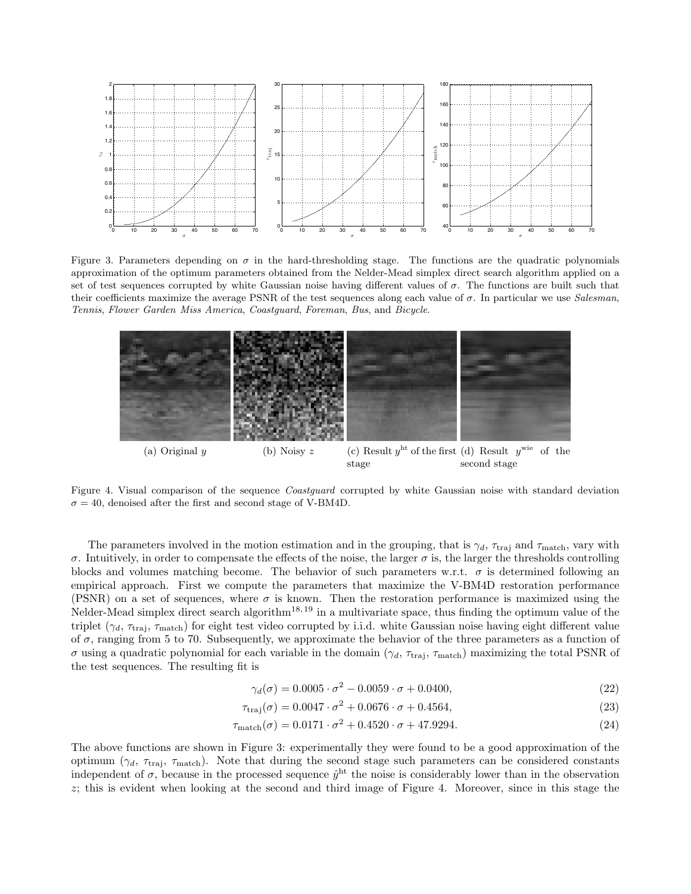

Figure 3. Parameters depending on  $\sigma$  in the hard-thresholding stage. The functions are the quadratic polynomials approximation of the optimum parameters obtained from the Nelder-Mead simplex direct search algorithm applied on a set of test sequences corrupted by white Gaussian noise having different values of  $\sigma$ . The functions are built such that their coefficients maximize the average PSNR of the test sequences along each value of  $\sigma$ . In particular we use Salesman, Tennis, Flower Garden Miss America, Coastguard, Foreman, Bus, and Bicycle.



Figure 4. Visual comparison of the sequence *Coastguard* corrupted by white Gaussian noise with standard deviation  $\sigma = 40$ , denoised after the first and second stage of V-BM4D.

The parameters involved in the motion estimation and in the grouping, that is  $\gamma_d$ ,  $\tau_{\text{traj}}$  and  $\tau_{\text{match}}$ , vary with  $\sigma$ . Intuitively, in order to compensate the effects of the noise, the larger  $\sigma$  is, the larger the thresholds controlling blocks and volumes matching become. The behavior of such parameters w.r.t.  $\sigma$  is determined following an empirical approach. First we compute the parameters that maximize the V-BM4D restoration performance (PSNR) on a set of sequences, where  $\sigma$  is known. Then the restoration performance is maximized using the Nelder-Mead simplex direct search algorithm<sup>18, 19</sup> in a multivariate space, thus finding the optimum value of the triplet  $(\gamma_d, \tau_{\text{traj}}, \tau_{\text{match}})$  for eight test video corrupted by i.i.d. white Gaussian noise having eight different value of  $\sigma$ , ranging from 5 to 70. Subsequently, we approximate the behavior of the three parameters as a function of σ using a quadratic polynomial for each variable in the domain ( $\gamma_d$ ,  $\tau_{\text{traj}}$ ,  $\tau_{\text{match}}$ ) maximizing the total PSNR of the test sequences. The resulting fit is

$$
\gamma_d(\sigma) = 0.0005 \cdot \sigma^2 - 0.0059 \cdot \sigma + 0.0400,\tag{22}
$$

$$
\tau_{\text{traj}}(\sigma) = 0.0047 \cdot \sigma^2 + 0.0676 \cdot \sigma + 0.4564,\tag{23}
$$

$$
\tau_{\text{match}}(\sigma) = 0.0171 \cdot \sigma^2 + 0.4520 \cdot \sigma + 47.9294. \tag{24}
$$

The above functions are shown in Figure 3: experimentally they were found to be a good approximation of the optimum ( $\gamma_d$ ,  $\tau_{\text{traj}}$ ,  $\tau_{\text{match}}$ ). Note that during the second stage such parameters can be considered constants independent of  $\sigma$ , because in the processed sequence  $\hat{y}^{\text{ht}}$  the noise is considerably lower than in the observation z; this is evident when looking at the second and third image of Figure 4. Moreover, since in this stage the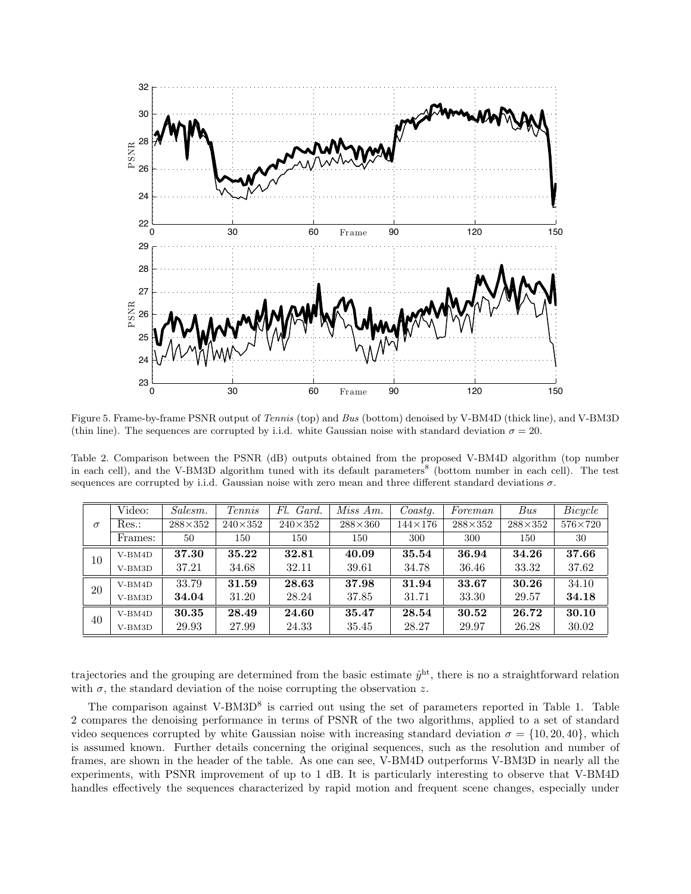

Figure 5. Frame-by-frame PSNR output of Tennis (top) and Bus (bottom) denoised by V-BM4D (thick line), and V-BM3D (thin line). The sequences are corrupted by i.i.d. white Gaussian noise with standard deviation  $\sigma = 20$ .

Table 2. Comparison between the PSNR (dB) outputs obtained from the proposed V-BM4D algorithm (top number in each cell), and the V-BM3D algorithm tuned with its default parameters<sup>8</sup> (bottom number in each cell). The test sequences are corrupted by i.i.d. Gaussian noise with zero mean and three different standard deviations  $\sigma$ .

| $\sigma$ | Video:   | Salesm.        | Tennis         | Fl.<br>Gard.   | Miss Am.       | Coastq.        | Foreman        | Bus            | Bicycle        |
|----------|----------|----------------|----------------|----------------|----------------|----------------|----------------|----------------|----------------|
|          | $Res.$ : | $288\times352$ | $240\times352$ | $240\times352$ | $288\times360$ | $144\times176$ | $288\times352$ | $288\times352$ | $576\times720$ |
|          | Frames:  | 50             | 150            | 150            | 150            | 300            | 300            | 150            | 30             |
| 10       | $V-BM4D$ | 37.30          | 35.22          | 32.81          | 40.09          | 35.54          | 36.94          | 34.26          | 37.66          |
|          | $V-BM3D$ | 37.21          | 34.68          | 32.11          | 39.61          | 34.78          | 36.46          | 33.32          | 37.62          |
| 20       | $V-BM4D$ | 33.79          | 31.59          | 28.63          | 37.98          | 31.94          | 33.67          | 30.26          | 34.10          |
|          | V-BM3D   | 34.04          | 31.20          | 28.24          | 37.85          | 31.71          | 33.30          | 29.57          | 34.18          |
| 40       | $V-BM4D$ | 30.35          | 28.49          | 24.60          | 35.47          | 28.54          | 30.52          | 26.72          | 30.10          |
|          | $V-BM3D$ | 29.93          | 27.99          | 24.33          | 35.45          | 28.27          | 29.97          | 26.28          | 30.02          |

trajectories and the grouping are determined from the basic estimate  $\hat{y}^{\text{ht}}$ , there is no a straightforward relation with  $\sigma$ , the standard deviation of the noise corrupting the observation z.

The comparison against V-BM3D<sup>8</sup> is carried out using the set of parameters reported in Table 1. Table 2 compares the denoising performance in terms of PSNR of the two algorithms, applied to a set of standard video sequences corrupted by white Gaussian noise with increasing standard deviation  $\sigma = \{10, 20, 40\}$ , which is assumed known. Further details concerning the original sequences, such as the resolution and number of frames, are shown in the header of the table. As one can see, V-BM4D outperforms V-BM3D in nearly all the experiments, with PSNR improvement of up to 1 dB. It is particularly interesting to observe that V-BM4D handles effectively the sequences characterized by rapid motion and frequent scene changes, especially under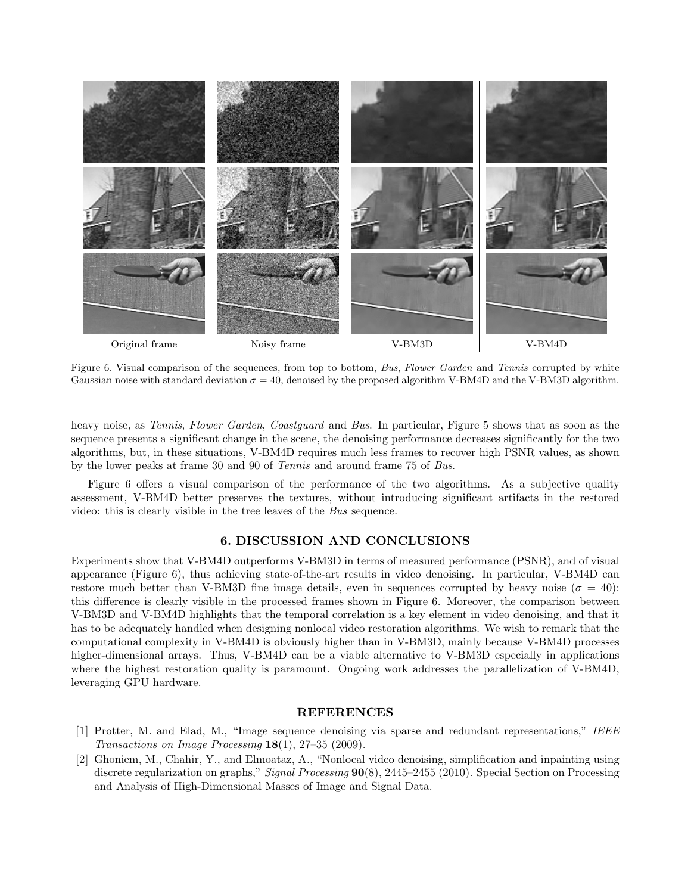

Figure 6. Visual comparison of the sequences, from top to bottom, Bus, Flower Garden and Tennis corrupted by white Gaussian noise with standard deviation  $\sigma = 40$ , denoised by the proposed algorithm V-BM4D and the V-BM3D algorithm.

heavy noise, as *Tennis, Flower Garden, Coastguard* and Bus. In particular, Figure 5 shows that as soon as the sequence presents a significant change in the scene, the denoising performance decreases significantly for the two algorithms, but, in these situations, V-BM4D requires much less frames to recover high PSNR values, as shown by the lower peaks at frame 30 and 90 of Tennis and around frame 75 of Bus.

Figure 6 offers a visual comparison of the performance of the two algorithms. As a subjective quality assessment, V-BM4D better preserves the textures, without introducing significant artifacts in the restored video: this is clearly visible in the tree leaves of the Bus sequence.

# 6. DISCUSSION AND CONCLUSIONS

Experiments show that V-BM4D outperforms V-BM3D in terms of measured performance (PSNR), and of visual appearance (Figure 6), thus achieving state-of-the-art results in video denoising. In particular, V-BM4D can restore much better than V-BM3D fine image details, even in sequences corrupted by heavy noise ( $\sigma = 40$ ): this difference is clearly visible in the processed frames shown in Figure 6. Moreover, the comparison between V-BM3D and V-BM4D highlights that the temporal correlation is a key element in video denoising, and that it has to be adequately handled when designing nonlocal video restoration algorithms. We wish to remark that the computational complexity in V-BM4D is obviously higher than in V-BM3D, mainly because V-BM4D processes higher-dimensional arrays. Thus, V-BM4D can be a viable alternative to V-BM3D especially in applications where the highest restoration quality is paramount. Ongoing work addresses the parallelization of V-BM4D, leveraging GPU hardware.

#### **REFERENCES**

- [1] Protter, M. and Elad, M., "Image sequence denoising via sparse and redundant representations," IEEE Transactions on Image Processing 18(1), 27–35 (2009).
- [2] Ghoniem, M., Chahir, Y., and Elmoataz, A., "Nonlocal video denoising, simplification and inpainting using discrete regularization on graphs," Signal Processing  $90(8)$ , 2445–2455 (2010). Special Section on Processing and Analysis of High-Dimensional Masses of Image and Signal Data.